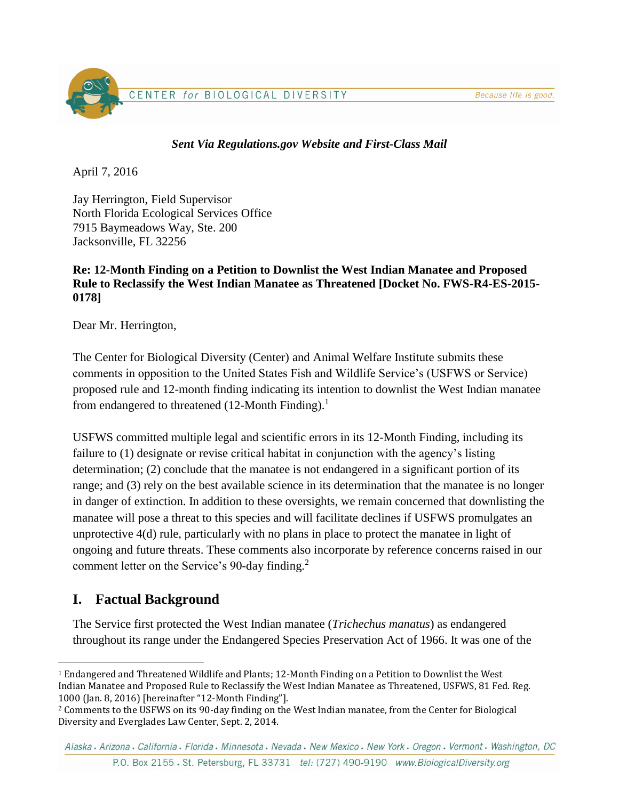

### *Sent Via Regulations.gov Website and First-Class Mail*

April 7, 2016

Jay Herrington, Field Supervisor North Florida Ecological Services Office 7915 Baymeadows Way, Ste. 200 Jacksonville, FL 32256

### **Re: 12-Month Finding on a Petition to Downlist the West Indian Manatee and Proposed Rule to Reclassify the West Indian Manatee as Threatened [Docket No. FWS-R4-ES-2015- 0178]**

Dear Mr. Herrington,

The Center for Biological Diversity (Center) and Animal Welfare Institute submits these comments in opposition to the United States Fish and Wildlife Service's (USFWS or Service) proposed rule and 12-month finding indicating its intention to downlist the West Indian manatee from endangered to threatened  $(12\text{-}Month\, Finding).$ <sup>1</sup>

USFWS committed multiple legal and scientific errors in its 12-Month Finding, including its failure to (1) designate or revise critical habitat in conjunction with the agency's listing determination; (2) conclude that the manatee is not endangered in a significant portion of its range; and (3) rely on the best available science in its determination that the manatee is no longer in danger of extinction. In addition to these oversights, we remain concerned that downlisting the manatee will pose a threat to this species and will facilitate declines if USFWS promulgates an unprotective 4(d) rule, particularly with no plans in place to protect the manatee in light of ongoing and future threats. These comments also incorporate by reference concerns raised in our comment letter on the Service's 90-day finding.<sup>2</sup>

# **I. Factual Background**

 $\overline{a}$ 

The Service first protected the West Indian manatee (*Trichechus manatus*) as endangered throughout its range under the Endangered Species Preservation Act of 1966. It was one of the

<sup>1</sup> Endangered and Threatened Wildlife and Plants; 12-Month Finding on a Petition to Downlist the West Indian Manatee and Proposed Rule to Reclassify the West Indian Manatee as Threatened, USFWS, 81 Fed. Reg. 1000 (Jan. 8, 2016) [hereinafter "12-Month Finding"].

<sup>2</sup> Comments to the USFWS on its 90-day finding on the West Indian manatee, from the Center for Biological Diversity and Everglades Law Center, Sept. 2, 2014.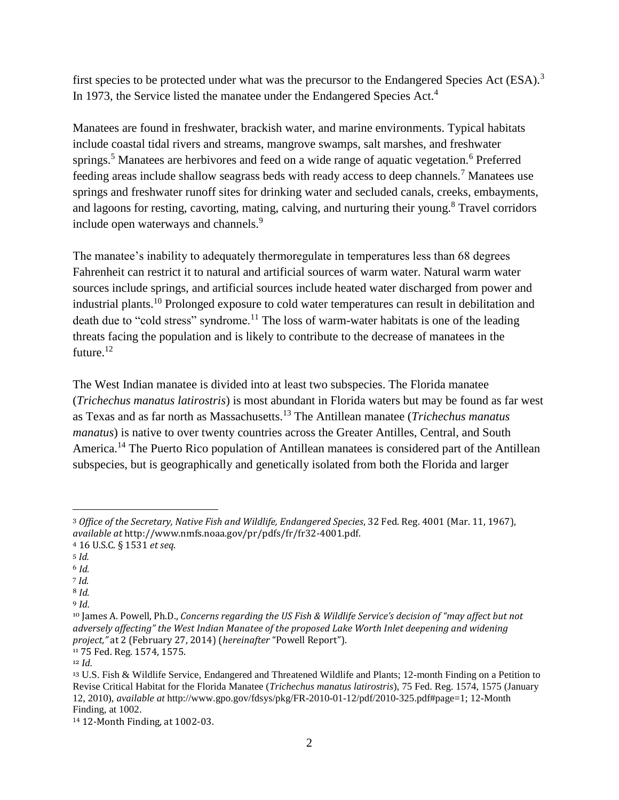first species to be protected under what was the precursor to the Endangered Species Act (ESA).<sup>3</sup> In 1973, the Service listed the manatee under the Endangered Species Act.<sup>4</sup>

Manatees are found in freshwater, brackish water, and marine environments. Typical habitats include coastal tidal rivers and streams, mangrove swamps, salt marshes, and freshwater springs.<sup>5</sup> Manatees are herbivores and feed on a wide range of aquatic vegetation.<sup>6</sup> Preferred feeding areas include shallow seagrass beds with ready access to deep channels.<sup>7</sup> Manatees use springs and freshwater runoff sites for drinking water and secluded canals, creeks, embayments, and lagoons for resting, cavorting, mating, calving, and nurturing their young.<sup>8</sup> Travel corridors include open waterways and channels.<sup>9</sup>

The manatee's inability to adequately thermoregulate in temperatures less than 68 degrees Fahrenheit can restrict it to natural and artificial sources of warm water. Natural warm water sources include springs, and artificial sources include heated water discharged from power and industrial plants.<sup>10</sup> Prolonged exposure to cold water temperatures can result in debilitation and death due to "cold stress" syndrome.<sup>11</sup> The loss of warm-water habitats is one of the leading threats facing the population and is likely to contribute to the decrease of manatees in the future. $12$ 

The West Indian manatee is divided into at least two subspecies. The Florida manatee (*Trichechus manatus latirostris*) is most abundant in Florida waters but may be found as far west as Texas and as far north as Massachusetts.<sup>13</sup> The Antillean manatee (*Trichechus manatus manatus*) is native to over twenty countries across the Greater Antilles, Central, and South America.<sup>14</sup> The Puerto Rico population of Antillean manatees is considered part of the Antillean subspecies, but is geographically and genetically isolated from both the Florida and larger

 $\overline{a}$ 

<sup>6</sup> *Id.*

7 *Id.* <sup>8</sup> *Id.*

<sup>3</sup> *Office of the Secretary, Native Fish and Wildlife, Endangered Species*, 32 Fed. Reg. 4001 (Mar. 11, 1967), *available at* http://www.nmfs.noaa.gov/pr/pdfs/fr/fr32-4001.pdf.

<sup>4</sup> 16 U.S.C. § 1531 *et seq*.

<sup>5</sup> *Id.*

<sup>9</sup> *Id.*

<sup>10</sup> James A. Powell, Ph.D., *Concerns regarding the US Fish & Wildlife Service's decision of "may affect but not adversely affecting" the West Indian Manatee of the proposed Lake Worth Inlet deepening and widening project,"* at 2 (February 27, 2014) (*hereinafter* "Powell Report").

<sup>11</sup> 75 Fed. Reg. 1574, 1575.

<sup>12</sup> *Id.*

<sup>13</sup> U.S. Fish & Wildlife Service, Endangered and Threatened Wildlife and Plants; 12-month Finding on a Petition to Revise Critical Habitat for the Florida Manatee (*Trichechus manatus latirostris*), 75 Fed. Reg. 1574, 1575 (January 12, 2010), *available at* http://www.gpo.gov/fdsys/pkg/FR-2010-01-12/pdf/2010-325.pdf#page=1; 12-Month Finding, at 1002.

<sup>14</sup> 12-Month Finding, at 1002-03.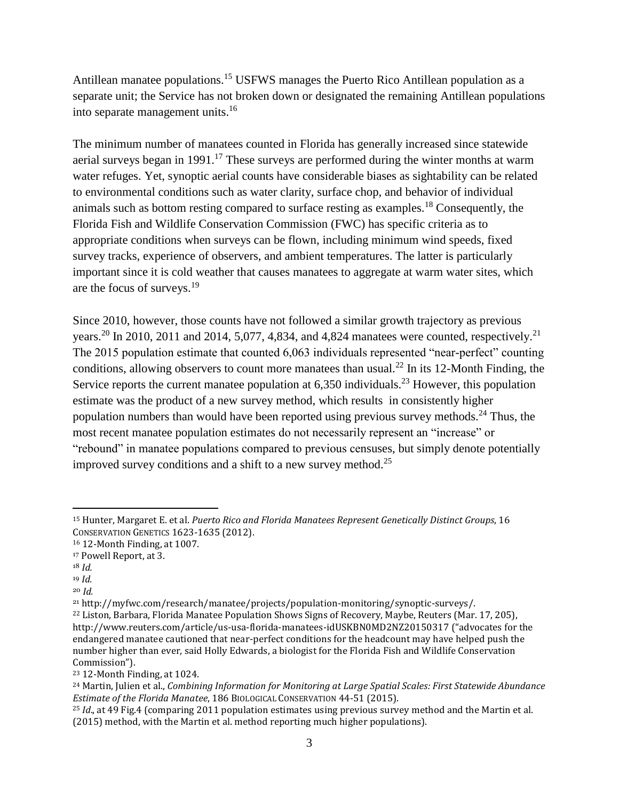Antillean manatee populations.<sup>15</sup> USFWS manages the Puerto Rico Antillean population as a separate unit; the Service has not broken down or designated the remaining Antillean populations into separate management units.<sup>16</sup>

The minimum number of manatees counted in Florida has generally increased since statewide aerial surveys began in 1991.<sup>17</sup> These surveys are performed during the winter months at warm water refuges. Yet, synoptic aerial counts have considerable biases as sightability can be related to environmental conditions such as water clarity, surface chop, and behavior of individual animals such as bottom resting compared to surface resting as examples.<sup>18</sup> Consequently, the Florida Fish and Wildlife Conservation Commission (FWC) has specific criteria as to appropriate conditions when surveys can be flown, including minimum wind speeds, fixed survey tracks, experience of observers, and ambient temperatures. The latter is particularly important since it is cold weather that causes manatees to aggregate at warm water sites, which are the focus of surveys.<sup>19</sup>

Since 2010, however, those counts have not followed a similar growth trajectory as previous years.<sup>20</sup> In 2010, 2011 and 2014, 5,077, 4,834, and 4,824 manatees were counted, respectively.<sup>21</sup> The 2015 population estimate that counted 6,063 individuals represented "near-perfect" counting conditions, allowing observers to count more manatees than usual.<sup>22</sup> In its 12-Month Finding, the Service reports the current manatee population at  $6,350$  individuals.<sup>23</sup> However, this population estimate was the product of a new survey method, which results in consistently higher population numbers than would have been reported using previous survey methods.<sup>24</sup> Thus, the most recent manatee population estimates do not necessarily represent an "increase" or "rebound" in manatee populations compared to previous censuses, but simply denote potentially improved survey conditions and a shift to a new survey method.<sup>25</sup>

 $\overline{a}$ 

<sup>21</sup> http://myfwc.com/research/manatee/projects/population-monitoring/synoptic-surveys/.

<sup>23</sup> 12-Month Finding, at 1024.

<sup>15</sup> Hunter, Margaret E. et al. *Puerto Rico and Florida Manatees Represent Genetically Distinct Groups*, 16 CONSERVATION GENETICS 1623-1635 (2012).

<sup>16</sup> 12-Month Finding, at 1007.

<sup>17</sup> Powell Report, at 3.

<sup>18</sup> *Id.*

<sup>19</sup> *Id.*

<sup>20</sup> *Id.*

<sup>22</sup> Liston, Barbara, Florida Manatee Population Shows Signs of Recovery, Maybe, Reuters (Mar. 17, 205), http://www.reuters.com/article/us-usa-florida-manatees-idUSKBN0MD2NZ20150317 ("advocates for the endangered manatee cautioned that near-perfect conditions for the headcount may have helped push the number higher than ever, said Holly Edwards, a biologist for the Florida Fish and Wildlife Conservation Commission").

<sup>24</sup> Martin, Julien et al., *Combining Information for Monitoring at Large Spatial Scales: First Statewide Abundance Estimate of the Florida Manatee*, 186 BIOLOGICAL CONSERVATION 44-51 (2015).

<sup>25</sup> *Id*., at 49 Fig.4 (comparing 2011 population estimates using previous survey method and the Martin et al. (2015) method, with the Martin et al. method reporting much higher populations).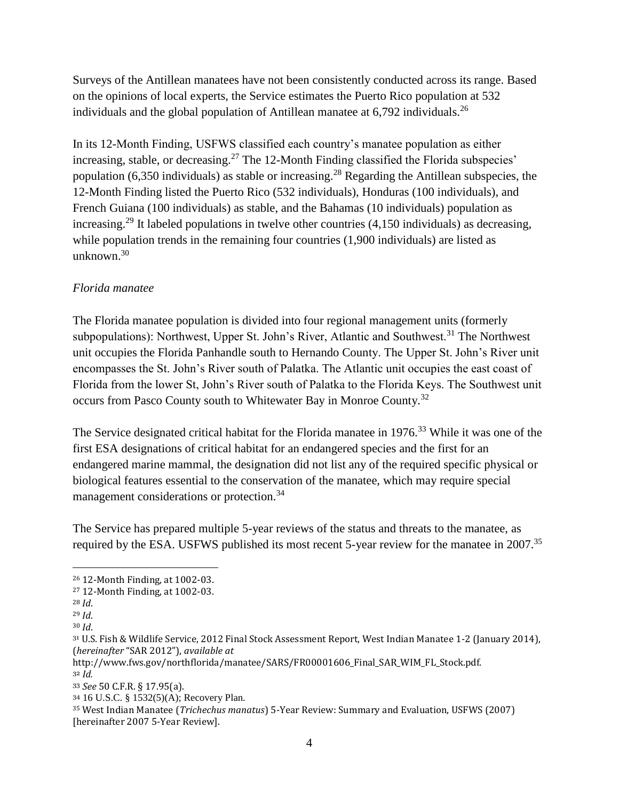Surveys of the Antillean manatees have not been consistently conducted across its range. Based on the opinions of local experts, the Service estimates the Puerto Rico population at 532 individuals and the global population of Antillean manatee at  $6,792$  individuals.<sup>26</sup>

In its 12-Month Finding, USFWS classified each country's manatee population as either increasing, stable, or decreasing.<sup>27</sup> The 12-Month Finding classified the Florida subspecies' population (6,350 individuals) as stable or increasing.<sup>28</sup> Regarding the Antillean subspecies, the 12-Month Finding listed the Puerto Rico (532 individuals), Honduras (100 individuals), and French Guiana (100 individuals) as stable, and the Bahamas (10 individuals) population as increasing.<sup>29</sup> It labeled populations in twelve other countries  $(4,150$  individuals) as decreasing, while population trends in the remaining four countries  $(1,900)$  individuals) are listed as unknown $30$ 

### *Florida manatee*

The Florida manatee population is divided into four regional management units (formerly subpopulations): Northwest, Upper St. John's River, Atlantic and Southwest.<sup>31</sup> The Northwest unit occupies the Florida Panhandle south to Hernando County. The Upper St. John's River unit encompasses the St. John's River south of Palatka. The Atlantic unit occupies the east coast of Florida from the lower St, John's River south of Palatka to the Florida Keys. The Southwest unit occurs from Pasco County south to Whitewater Bay in Monroe County.<sup>32</sup>

The Service designated critical habitat for the Florida manatee in 1976.<sup>33</sup> While it was one of the first ESA designations of critical habitat for an endangered species and the first for an endangered marine mammal, the designation did not list any of the required specific physical or biological features essential to the conservation of the manatee, which may require special management considerations or protection.<sup>34</sup>

The Service has prepared multiple 5-year reviews of the status and threats to the manatee, as required by the ESA. USFWS published its most recent 5-year review for the manatee in 2007.<sup>35</sup>

<sup>26</sup> 12-Month Finding, at 1002-03.

<sup>27</sup> 12-Month Finding, at 1002-03.

<sup>28</sup> *Id*.

<sup>29</sup> *Id*.

<sup>30</sup> *Id*.

<sup>31</sup> U.S. Fish & Wildlife Service, 2012 Final Stock Assessment Report, West Indian Manatee 1-2 (January 2014), (*hereinafter* "SAR 2012"), *available at* 

http://www.fws.gov/northflorida/manatee/SARS/FR00001606\_Final\_SAR\_WIM\_FL\_Stock.pdf. <sup>32</sup> *Id.*

<sup>33</sup> *See* 50 C.F.R. § 17.95(a).

<sup>34</sup> 16 U.S.C. § 1532(5)(A); Recovery Plan.

<sup>35</sup> West Indian Manatee (*Trichechus manatus*) 5-Year Review: Summary and Evaluation, USFWS (2007) [hereinafter 2007 5-Year Review].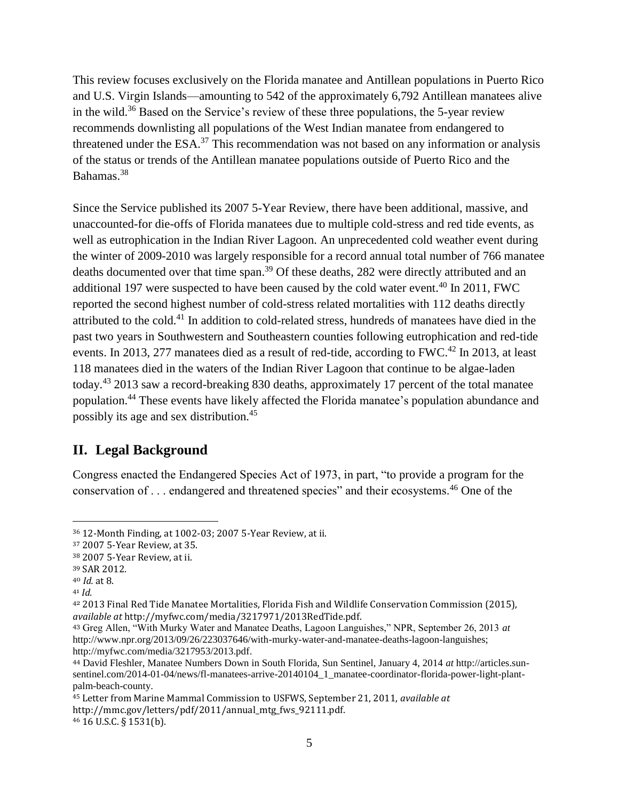This review focuses exclusively on the Florida manatee and Antillean populations in Puerto Rico and U.S. Virgin Islands—amounting to 542 of the approximately 6,792 Antillean manatees alive in the wild.<sup>36</sup> Based on the Service's review of these three populations, the 5-year review recommends downlisting all populations of the West Indian manatee from endangered to threatened under the ESA. $^{37}$  This recommendation was not based on any information or analysis of the status or trends of the Antillean manatee populations outside of Puerto Rico and the Bahamas.<sup>38</sup>

Since the Service published its 2007 5-Year Review, there have been additional, massive, and unaccounted-for die-offs of Florida manatees due to multiple cold-stress and red tide events, as well as eutrophication in the Indian River Lagoon. An unprecedented cold weather event during the winter of 2009-2010 was largely responsible for a record annual total number of 766 manatee deaths documented over that time span.<sup>39</sup> Of these deaths, 282 were directly attributed and an additional 197 were suspected to have been caused by the cold water event.<sup>40</sup> In 2011, FWC reported the second highest number of cold-stress related mortalities with 112 deaths directly attributed to the cold.<sup>41</sup> In addition to cold-related stress, hundreds of manatees have died in the past two years in Southwestern and Southeastern counties following eutrophication and red-tide events. In 2013, 277 manatees died as a result of red-tide, according to  $FWC<sup>42</sup>$  In 2013, at least 118 manatees died in the waters of the Indian River Lagoon that continue to be algae-laden today.<sup>43</sup> 2013 saw a record-breaking 830 deaths, approximately 17 percent of the total manatee population.<sup>44</sup> These events have likely affected the Florida manatee's population abundance and possibly its age and sex distribution.<sup>45</sup>

# **II. Legal Background**

Congress enacted the Endangered Species Act of 1973, in part, "to provide a program for the conservation of . . . endangered and threatened species" and their ecosystems.<sup>46</sup> One of the

<sup>40</sup> *Id.* at 8.

<sup>36</sup> 12-Month Finding, at 1002-03; 2007 5-Year Review, at ii.

<sup>37</sup> 2007 5-Year Review, at 35.

<sup>38</sup> 2007 5-Year Review, at ii.

<sup>39</sup> SAR 2012.

<sup>41</sup> *Id.*

<sup>42</sup> 2013 Final Red Tide Manatee Mortalities, Florida Fish and Wildlife Conservation Commission (2015), *available at* http://myfwc.com/media/3217971/2013RedTide.pdf.

<sup>43</sup> Greg Allen, "With Murky Water and Manatee Deaths, Lagoon Languishes," NPR, September 26, 2013 *at* http://www.npr.org/2013/09/26/223037646/with-murky-water-and-manatee-deaths-lagoon-languishes; http://myfwc.com/media/3217953/2013.pdf.

<sup>44</sup> David Fleshler, Manatee Numbers Down in South Florida, Sun Sentinel, January 4, 2014 *at* http://articles.sunsentinel.com/2014-01-04/news/fl-manatees-arrive-20140104\_1\_manatee-coordinator-florida-power-light-plantpalm-beach-county.

<sup>45</sup> Letter from Marine Mammal Commission to USFWS, September 21, 2011, *available at* http://mmc.gov/letters/pdf/2011/annual\_mtg\_fws\_92111.pdf. <sup>46</sup> 16 U.S.C. § 1531(b).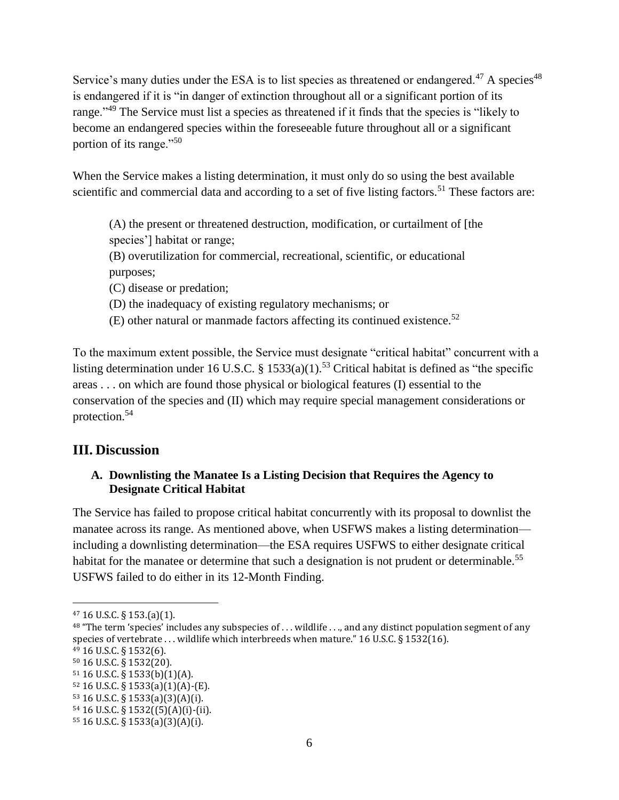Service's many duties under the ESA is to list species as threatened or endangered.<sup>47</sup> A species<sup>48</sup> is endangered if it is "in danger of extinction throughout all or a significant portion of its range."<sup>49</sup> The Service must list a species as threatened if it finds that the species is "likely to become an endangered species within the foreseeable future throughout all or a significant portion of its range."<sup>50</sup>

When the Service makes a listing determination, it must only do so using the best available scientific and commercial data and according to a set of five listing factors.<sup>51</sup> These factors are:

(A) the present or threatened destruction, modification, or curtailment of [the species'] habitat or range;

(B) overutilization for commercial, recreational, scientific, or educational purposes;

(C) disease or predation;

(D) the inadequacy of existing regulatory mechanisms; or

 $(E)$  other natural or manmade factors affecting its continued existence.<sup>52</sup>

To the maximum extent possible, the Service must designate "critical habitat" concurrent with a listing determination under 16 U.S.C. § 1533(a)(1).<sup>53</sup> Critical habitat is defined as "the specific areas . . . on which are found those physical or biological features (I) essential to the conservation of the species and (II) which may require special management considerations or protection.<sup>54</sup>

# **III. Discussion**

## **A. Downlisting the Manatee Is a Listing Decision that Requires the Agency to Designate Critical Habitat**

The Service has failed to propose critical habitat concurrently with its proposal to downlist the manatee across its range. As mentioned above, when USFWS makes a listing determination including a downlisting determination—the ESA requires USFWS to either designate critical habitat for the manatee or determine that such a designation is not prudent or determinable.<sup>55</sup> USFWS failed to do either in its 12-Month Finding.

<sup>47</sup> 16 U.S.C. § 153.(a)(1).

<sup>48</sup> "The term 'species' includes any subspecies of . . . wildlife . . ., and any distinct population segment of any species of vertebrate . . . wildlife which interbreeds when mature." 16 U.S.C. § 1532(16).

<sup>49</sup> 16 U.S.C. § 1532(6).

<sup>50</sup> 16 U.S.C. § 1532(20).

<sup>51</sup> 16 U.S.C. § 1533(b)(1)(A).

<sup>52</sup> 16 U.S.C. § 1533(a)(1)(A)-(E).

<sup>53</sup> 16 U.S.C. § 1533(a)(3)(A)(i).

<sup>54</sup> 16 U.S.C. § 1532((5)(A)(i)-(ii).

<sup>55</sup> 16 U.S.C. § 1533(a)(3)(A)(i).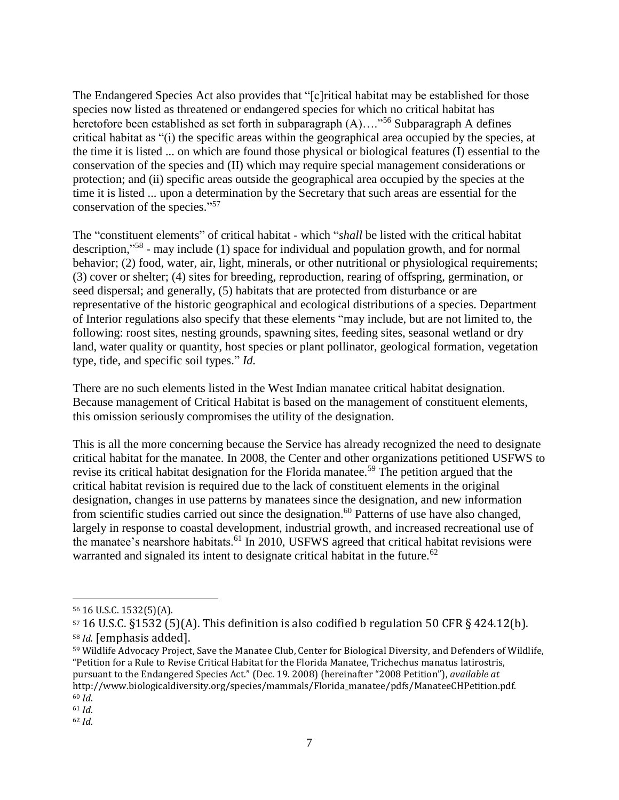The Endangered Species Act also provides that "[c]ritical habitat may be established for those species now listed as threatened or endangered species for which no critical habitat has heretofore been established as set forth in subparagraph (A)….<sup>"56</sup> Subparagraph A defines critical habitat as "(i) the specific areas within the geographical area occupied by the species, at the time it is listed ... on which are found those physical or biological features (I) essential to the conservation of the species and (II) which may require special management considerations or protection; and (ii) specific areas outside the geographical area occupied by the species at the time it is listed ... upon a determination by the Secretary that such areas are essential for the conservation of the species." 57

The "constituent elements" of critical habitat - which "*shall* be listed with the critical habitat description,"<sup>58</sup> - may include (1) space for individual and population growth, and for normal behavior; (2) food, water, air, light, minerals, or other nutritional or physiological requirements; (3) cover or shelter; (4) sites for breeding, reproduction, rearing of offspring, germination, or seed dispersal; and generally, (5) habitats that are protected from disturbance or are representative of the historic geographical and ecological distributions of a species. Department of Interior regulations also specify that these elements "may include, but are not limited to, the following: roost sites, nesting grounds, spawning sites, feeding sites, seasonal wetland or dry land, water quality or quantity, host species or plant pollinator, geological formation, vegetation type, tide, and specific soil types." *Id.*

There are no such elements listed in the West Indian manatee critical habitat designation. Because management of Critical Habitat is based on the management of constituent elements, this omission seriously compromises the utility of the designation.

This is all the more concerning because the Service has already recognized the need to designate critical habitat for the manatee. In 2008, the Center and other organizations petitioned USFWS to revise its critical habitat designation for the Florida manatee.<sup>59</sup> The petition argued that the critical habitat revision is required due to the lack of constituent elements in the original designation, changes in use patterns by manatees since the designation, and new information from scientific studies carried out since the designation.<sup>60</sup> Patterns of use have also changed, largely in response to coastal development, industrial growth, and increased recreational use of the manatee's nearshore habitats.<sup>61</sup> In 2010, USFWS agreed that critical habitat revisions were warranted and signaled its intent to designate critical habitat in the future.<sup>62</sup>

<sup>56</sup> 16 U.S.C. 1532(5)(A).

 $57$  16 U.S.C. §1532 (5)(A). This definition is also codified b regulation 50 CFR § 424.12(b). <sup>58</sup> *Id.* [emphasis added].

<sup>59</sup> Wildlife Advocacy Project, Save the Manatee Club, Center for Biological Diversity, and Defenders of Wildlife, "Petition for a Rule to Revise Critical Habitat for the Florida Manatee, Trichechus manatus latirostris, pursuant to the Endangered Species Act." (Dec. 19. 2008) (hereinafter "2008 Petition"), *available at* http://www.biologicaldiversity.org/species/mammals/Florida\_manatee/pdfs/ManateeCHPetition.pdf. <sup>60</sup> *Id*.

<sup>61</sup> *Id*.

<sup>62</sup> *Id*.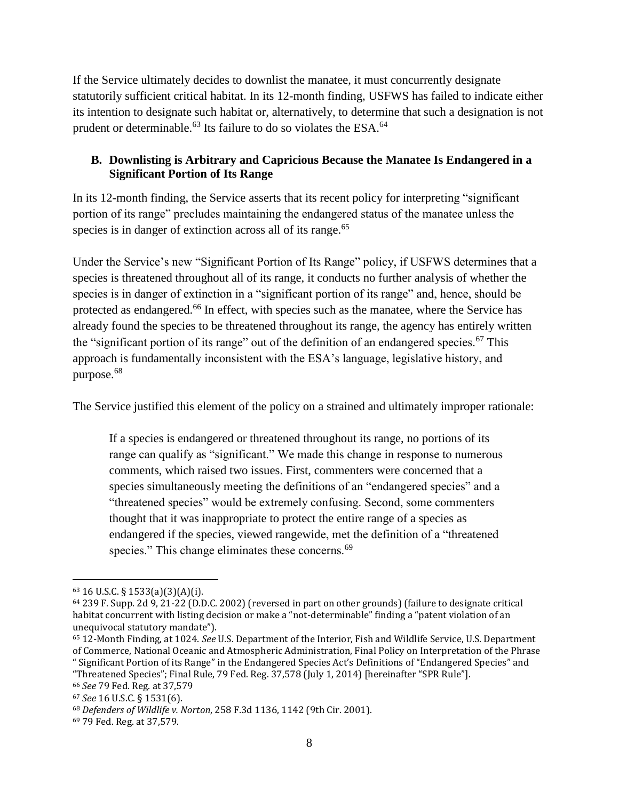If the Service ultimately decides to downlist the manatee, it must concurrently designate statutorily sufficient critical habitat. In its 12-month finding, USFWS has failed to indicate either its intention to designate such habitat or, alternatively, to determine that such a designation is not prudent or determinable.<sup>63</sup> Its failure to do so violates the ESA.<sup>64</sup>

### **B. Downlisting is Arbitrary and Capricious Because the Manatee Is Endangered in a Significant Portion of Its Range**

In its 12-month finding, the Service asserts that its recent policy for interpreting "significant portion of its range" precludes maintaining the endangered status of the manatee unless the species is in danger of extinction across all of its range.<sup>65</sup>

Under the Service's new "Significant Portion of Its Range" policy, if USFWS determines that a species is threatened throughout all of its range, it conducts no further analysis of whether the species is in danger of extinction in a "significant portion of its range" and, hence, should be protected as endangered.<sup>66</sup> In effect, with species such as the manatee, where the Service has already found the species to be threatened throughout its range, the agency has entirely written the "significant portion of its range" out of the definition of an endangered species.<sup>67</sup> This approach is fundamentally inconsistent with the ESA's language, legislative history, and purpose.<sup>68</sup>

The Service justified this element of the policy on a strained and ultimately improper rationale:

If a species is endangered or threatened throughout its range, no portions of its range can qualify as "significant." We made this change in response to numerous comments, which raised two issues. First, commenters were concerned that a species simultaneously meeting the definitions of an "endangered species" and a "threatened species" would be extremely confusing. Second, some commenters thought that it was inappropriate to protect the entire range of a species as endangered if the species, viewed rangewide, met the definition of a "threatened species." This change eliminates these concerns.<sup>69</sup>

<sup>63</sup> 16 U.S.C. § 1533(a)(3)(A)(i).

<sup>64</sup> 239 F. Supp. 2d 9, 21-22 (D.D.C. 2002) (reversed in part on other grounds) (failure to designate critical habitat concurrent with listing decision or make a "not-determinable" finding a "patent violation of an unequivocal statutory mandate").

<sup>65</sup> 12-Month Finding, at 1024. *See* U.S. Department of the Interior, Fish and Wildlife Service, U.S. Department of Commerce, National Oceanic and Atmospheric Administration, Final Policy on Interpretation of the Phrase

<sup>&</sup>quot; Significant Portion of its Range" in the Endangered Species Act's Definitions of "Endangered Species" and "Threatened Species"; Final Rule, 79 Fed. Reg. 37,578 (July 1, 2014) [hereinafter "SPR Rule"]. <sup>66</sup> *See* 79 Fed. Reg. at 37,579

<sup>67</sup> *See* 16 U.S.C. § 1531(6).

<sup>68</sup> *Defenders of Wildlife v. Norton*, 258 F.3d 1136, 1142 (9th Cir. 2001).

<sup>69</sup> 79 Fed. Reg. at 37,579.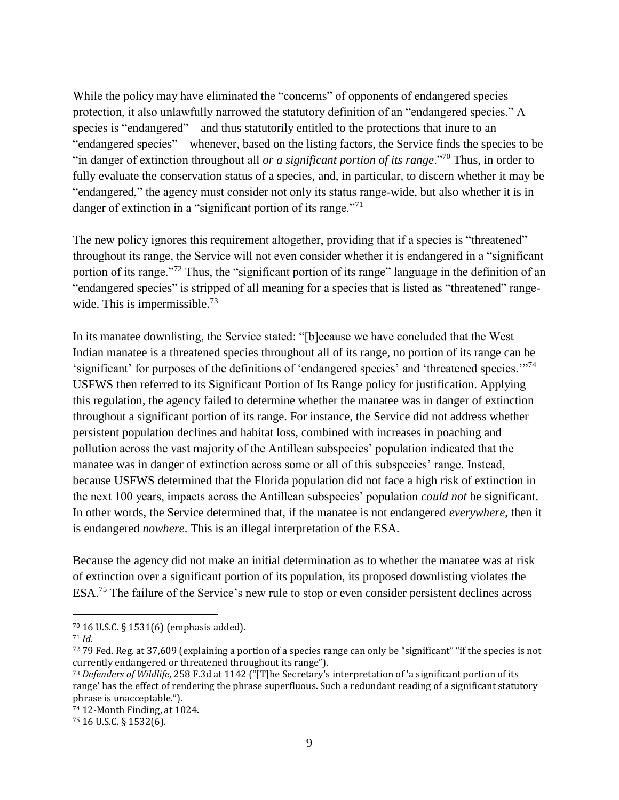While the policy may have eliminated the "concerns" of opponents of endangered species protection, it also unlawfully narrowed the statutory definition of an "endangered species." A species is "endangered" – and thus statutorily entitled to the protections that inure to an "endangered species" – whenever, based on the listing factors, the Service finds the species to be "in danger of extinction throughout all *or a significant portion of its range*."<sup>70</sup> Thus, in order to fully evaluate the conservation status of a species, and, in particular, to discern whether it may be "endangered," the agency must consider not only its status range-wide, but also whether it is in danger of extinction in a "significant portion of its range."<sup>71</sup>

The new policy ignores this requirement altogether, providing that if a species is "threatened" throughout its range, the Service will not even consider whether it is endangered in a "significant portion of its range."<sup>72</sup> Thus, the "significant portion of its range" language in the definition of an "endangered species" is stripped of all meaning for a species that is listed as "threatened" rangewide. This is impermissible.<sup>73</sup>

In its manatee downlisting, the Service stated: "[b]ecause we have concluded that the West Indian manatee is a threatened species throughout all of its range, no portion of its range can be 'significant' for purposes of the definitions of 'endangered species' and 'threatened species.'"<sup>74</sup> USFWS then referred to its Significant Portion of Its Range policy for justification. Applying this regulation, the agency failed to determine whether the manatee was in danger of extinction throughout a significant portion of its range. For instance, the Service did not address whether persistent population declines and habitat loss, combined with increases in poaching and pollution across the vast majority of the Antillean subspecies' population indicated that the manatee was in danger of extinction across some or all of this subspecies' range. Instead, because USFWS determined that the Florida population did not face a high risk of extinction in the next 100 years, impacts across the Antillean subspecies' population *could not* be significant. In other words, the Service determined that, if the manatee is not endangered *everywhere*, then it is endangered *nowhere*. This is an illegal interpretation of the ESA.

Because the agency did not make an initial determination as to whether the manatee was at risk of extinction over a significant portion of its population, its proposed downlisting violates the ESA.<sup>75</sup> The failure of the Service's new rule to stop or even consider persistent declines across

 $\overline{a}$ 

<sup>74</sup> 12-Month Finding, at 1024.

<sup>70</sup> 16 U.S.C. § 1531(6) (emphasis added).

<sup>71</sup> *Id*.

 $72$  79 Fed. Reg. at 37,609 (explaining a portion of a species range can only be "significant" "if the species is not currently endangered or threatened throughout its range").

<sup>73</sup> *Defenders of Wildlife*, 258 F.3d at 1142 ("[T]he Secretary's interpretation of 'a significant portion of its range' has the effect of rendering the phrase superfluous. Such a redundant reading of a significant statutory phrase is unacceptable.").

<sup>75</sup> 16 U.S.C. § 1532(6).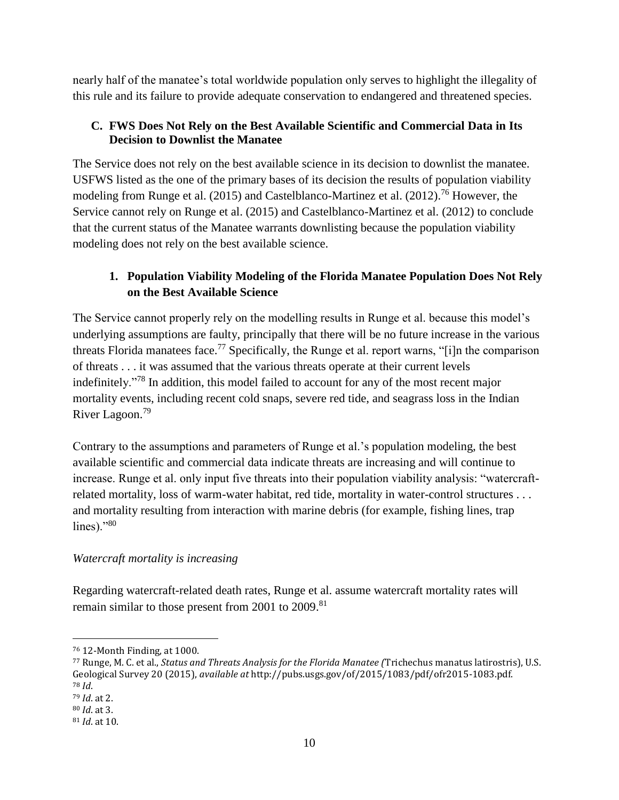nearly half of the manatee's total worldwide population only serves to highlight the illegality of this rule and its failure to provide adequate conservation to endangered and threatened species.

### **C. FWS Does Not Rely on the Best Available Scientific and Commercial Data in Its Decision to Downlist the Manatee**

The Service does not rely on the best available science in its decision to downlist the manatee. USFWS listed as the one of the primary bases of its decision the results of population viability modeling from Runge et al. (2015) and Castelblanco-Martinez et al. (2012).<sup>76</sup> However, the Service cannot rely on Runge et al. (2015) and Castelblanco-Martinez et al. (2012) to conclude that the current status of the Manatee warrants downlisting because the population viability modeling does not rely on the best available science.

## **1. Population Viability Modeling of the Florida Manatee Population Does Not Rely on the Best Available Science**

The Service cannot properly rely on the modelling results in Runge et al. because this model's underlying assumptions are faulty, principally that there will be no future increase in the various threats Florida manatees face.<sup>77</sup> Specifically, the Runge et al. report warns, "[i]n the comparison of threats . . . it was assumed that the various threats operate at their current levels indefinitely."<sup>78</sup> In addition, this model failed to account for any of the most recent major mortality events, including recent cold snaps, severe red tide, and seagrass loss in the Indian River Lagoon.<sup>79</sup>

Contrary to the assumptions and parameters of Runge et al.'s population modeling, the best available scientific and commercial data indicate threats are increasing and will continue to increase. Runge et al. only input five threats into their population viability analysis: "watercraftrelated mortality, loss of warm-water habitat, red tide, mortality in water-control structures . . . and mortality resulting from interaction with marine debris (for example, fishing lines, trap lines)."80

### *Watercraft mortality is increasing*

Regarding watercraft-related death rates, Runge et al. assume watercraft mortality rates will remain similar to those present from 2001 to 2009.<sup>81</sup>

<sup>76</sup> 12-Month Finding, at 1000.

<sup>77</sup> Runge, M. C. et al., *Status and Threats Analysis for the Florida Manatee (*Trichechus manatus latirostris), U.S. Geological Survey 20 (2015), *available at* http://pubs.usgs.gov/of/2015/1083/pdf/ofr2015-1083.pdf. <sup>78</sup> *Id*.

<sup>79</sup> *Id*. at 2.

<sup>80</sup> *Id*. at 3.

<sup>81</sup> *Id*. at 10.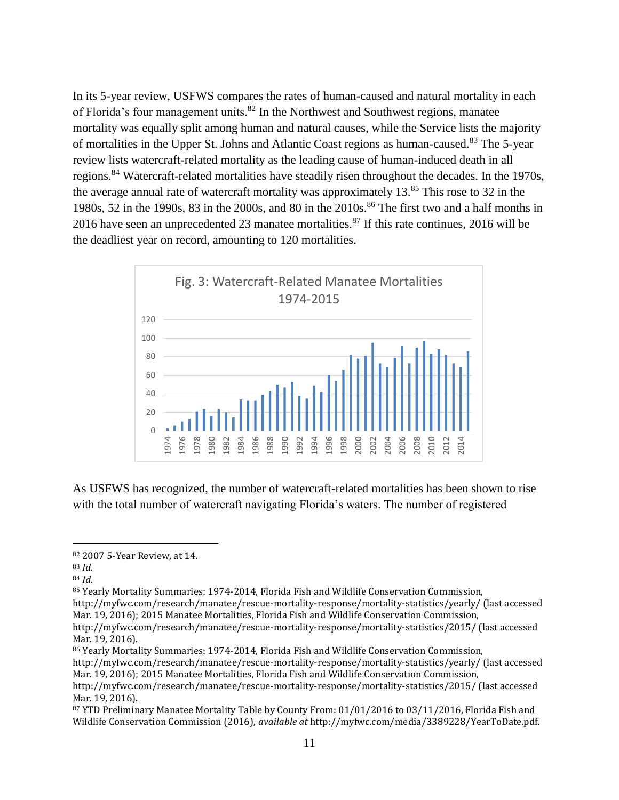In its 5-year review, USFWS compares the rates of human-caused and natural mortality in each of Florida's four management units.<sup>82</sup> In the Northwest and Southwest regions, manatee mortality was equally split among human and natural causes, while the Service lists the majority of mortalities in the Upper St. Johns and Atlantic Coast regions as human-caused.<sup>83</sup> The 5-year review lists watercraft-related mortality as the leading cause of human-induced death in all regions.<sup>84</sup> Watercraft-related mortalities have steadily risen throughout the decades. In the 1970s, the average annual rate of watercraft mortality was approximately  $13.^{85}$  This rose to 32 in the 1980s, 52 in the 1990s, 83 in the 2000s, and 80 in the 2010s.<sup>86</sup> The first two and a half months in 2016 have seen an unprecedented 23 manatee mortalities.<sup>87</sup> If this rate continues, 2016 will be the deadliest year on record, amounting to 120 mortalities.



As USFWS has recognized, the number of watercraft-related mortalities has been shown to rise with the total number of watercraft navigating Florida's waters. The number of registered

<sup>82</sup> 2007 5-Year Review, at 14.

<sup>83</sup> *Id*.

<sup>84</sup> *Id*.

<sup>85</sup> Yearly Mortality Summaries: 1974-2014, Florida Fish and Wildlife Conservation Commission, http://myfwc.com/research/manatee/rescue-mortality-response/mortality-statistics/yearly/ (last accessed Mar. 19, 2016); 2015 Manatee Mortalities, Florida Fish and Wildlife Conservation Commission,

http://myfwc.com/research/manatee/rescue-mortality-response/mortality-statistics/2015/ (last accessed Mar. 19, 2016).

<sup>86</sup> Yearly Mortality Summaries: 1974-2014, Florida Fish and Wildlife Conservation Commission,

http://myfwc.com/research/manatee/rescue-mortality-response/mortality-statistics/yearly/ (last accessed Mar. 19, 2016); 2015 Manatee Mortalities, Florida Fish and Wildlife Conservation Commission,

http://myfwc.com/research/manatee/rescue-mortality-response/mortality-statistics/2015/ (last accessed Mar. 19, 2016).

<sup>87</sup> YTD Preliminary Manatee Mortality Table by County From: 01/01/2016 to 03/11/2016, Florida Fish and Wildlife Conservation Commission (2016), *available at* http://myfwc.com/media/3389228/YearToDate.pdf.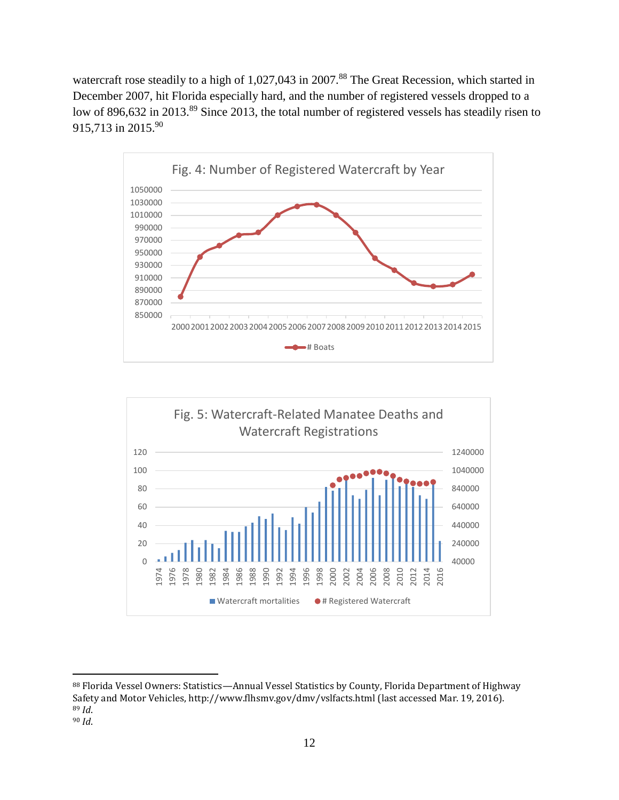watercraft rose steadily to a high of 1,027,043 in 2007.<sup>88</sup> The Great Recession, which started in December 2007, hit Florida especially hard, and the number of registered vessels dropped to a low of 896,632 in 2013.<sup>89</sup> Since 2013, the total number of registered vessels has steadily risen to 915,713 in 2015.<sup>90</sup>





<sup>88</sup> Florida Vessel Owners: Statistics-Annual Vessel Statistics by County, Florida Department of Highway Safety and Motor Vehicles, http://www.flhsmv.gov/dmv/vslfacts.html (last accessed Mar. 19, 2016). *Id*. *Id*.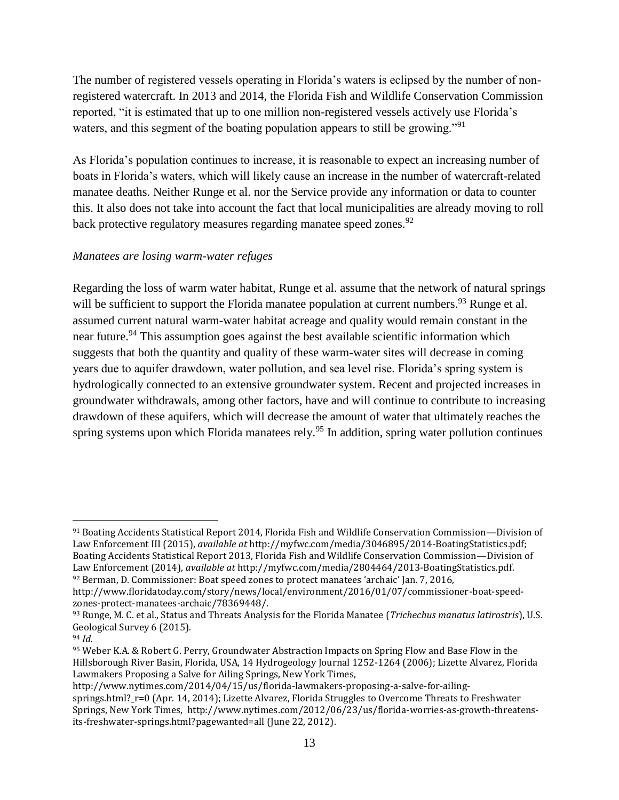The number of registered vessels operating in Florida's waters is eclipsed by the number of nonregistered watercraft. In 2013 and 2014, the Florida Fish and Wildlife Conservation Commission reported, "it is estimated that up to one million non-registered vessels actively use Florida's waters, and this segment of the boating population appears to still be growing."<sup>91</sup>

As Florida's population continues to increase, it is reasonable to expect an increasing number of boats in Florida's waters, which will likely cause an increase in the number of watercraft-related manatee deaths. Neither Runge et al. nor the Service provide any information or data to counter this. It also does not take into account the fact that local municipalities are already moving to roll back protective regulatory measures regarding manatee speed zones.<sup>92</sup>

#### *Manatees are losing warm-water refuges*

Regarding the loss of warm water habitat, Runge et al. assume that the network of natural springs will be sufficient to support the Florida manatee population at current numbers.<sup>93</sup> Runge et al. assumed current natural warm-water habitat acreage and quality would remain constant in the near future.<sup>94</sup> This assumption goes against the best available scientific information which suggests that both the quantity and quality of these warm-water sites will decrease in coming years due to aquifer drawdown, water pollution, and sea level rise. Florida's spring system is hydrologically connected to an extensive groundwater system. Recent and projected increases in groundwater withdrawals, among other factors, have and will continue to contribute to increasing drawdown of these aquifers, which will decrease the amount of water that ultimately reaches the spring systems upon which Florida manatees rely.<sup>95</sup> In addition, spring water pollution continues

<sup>91</sup> Boating Accidents Statistical Report 2014, Florida Fish and Wildlife Conservation Commission—Division of Law Enforcement III (2015), *available at* http://myfwc.com/media/3046895/2014-BoatingStatistics.pdf; Boating Accidents Statistical Report 2013, Florida Fish and Wildlife Conservation Commission—Division of Law Enforcement (2014), *available at* http://myfwc.com/media/2804464/2013-BoatingStatistics.pdf. <sup>92</sup> Berman, D. Commissioner: Boat speed zones to protect manatees 'archaic' Jan. 7, 2016,

http://www.floridatoday.com/story/news/local/environment/2016/01/07/commissioner-boat-speedzones-protect-manatees-archaic/78369448/.

<sup>93</sup> Runge, M. C. et al., Status and Threats Analysis for the Florida Manatee (*Trichechus manatus latirostris*), U.S. Geological Survey 6 (2015).

<sup>94</sup> *Id*.

<sup>95</sup> Weber K.A. & Robert G. Perry, Groundwater Abstraction Impacts on Spring Flow and Base Flow in the Hillsborough River Basin, Florida, USA, 14 Hydrogeology Journal 1252-1264 (2006); Lizette Alvarez, Florida Lawmakers Proposing a Salve for Ailing Springs, New York Times,

http://www.nytimes.com/2014/04/15/us/florida-lawmakers-proposing-a-salve-for-ailingsprings.html?\_r=0 (Apr. 14, 2014); Lizette Alvarez, Florida Struggles to Overcome Threats to Freshwater Springs, New York Times, http://www.nytimes.com/2012/06/23/us/florida-worries-as-growth-threatensits-freshwater-springs.html?pagewanted=all (June 22, 2012).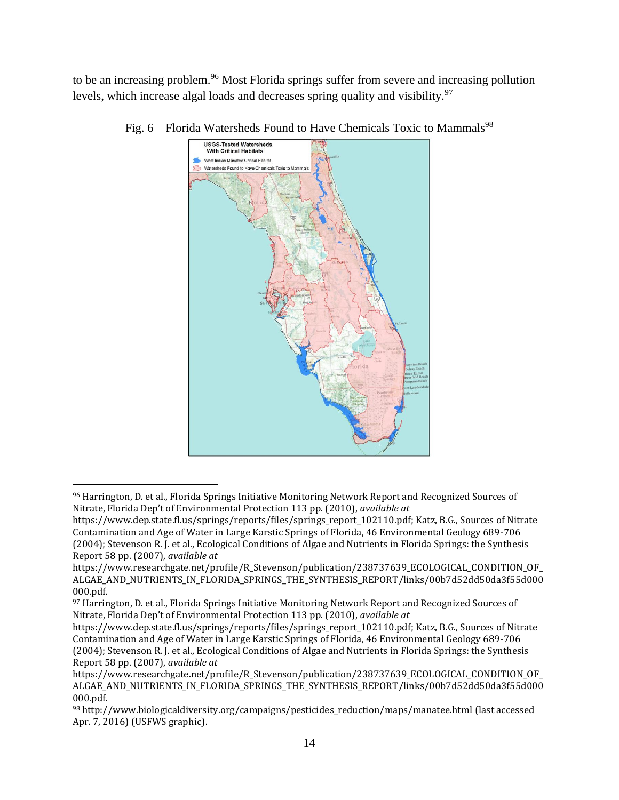to be an increasing problem.<sup>96</sup> Most Florida springs suffer from severe and increasing pollution levels, which increase algal loads and decreases spring quality and visibility.<sup>97</sup>





<sup>96</sup> Harrington, D. et al., Florida Springs Initiative Monitoring Network Report and Recognized Sources of Nitrate, Florida Dep't of Environmental Protection 113 pp. (2010), *available at*

https://www.dep.state.fl.us/springs/reports/files/springs\_report\_102110.pdf; Katz, B.G., Sources of Nitrate Contamination and Age of Water in Large Karstic Springs of Florida, 46 Environmental Geology 689-706 (2004); Stevenson R. J. et al., Ecological Conditions of Algae and Nutrients in Florida Springs: the Synthesis Report 58 pp. (2007), *available at*

https://www.researchgate.net/profile/R\_Stevenson/publication/238737639\_ECOLOGICAL\_CONDITION\_OF ALGAE\_AND\_NUTRIENTS\_IN\_FLORIDA\_SPRINGS\_THE\_SYNTHESIS\_REPORT/links/00b7d52dd50da3f55d000 000.pdf.

<sup>97</sup> Harrington, D. et al., Florida Springs Initiative Monitoring Network Report and Recognized Sources of Nitrate, Florida Dep't of Environmental Protection 113 pp. (2010), *available at*

https://www.dep.state.fl.us/springs/reports/files/springs\_report\_102110.pdf; Katz, B.G., Sources of Nitrate Contamination and Age of Water in Large Karstic Springs of Florida, 46 Environmental Geology 689-706 (2004); Stevenson R. J. et al., Ecological Conditions of Algae and Nutrients in Florida Springs: the Synthesis Report 58 pp. (2007), *available at*

https://www.researchgate.net/profile/R\_Stevenson/publication/238737639\_ECOLOGICAL\_CONDITION\_OF\_ ALGAE\_AND\_NUTRIENTS\_IN\_FLORIDA\_SPRINGS\_THE\_SYNTHESIS\_REPORT/links/00b7d52dd50da3f55d000 000.pdf.

<sup>98</sup> http://www.biologicaldiversity.org/campaigns/pesticides\_reduction/maps/manatee.html (last accessed Apr. 7, 2016) (USFWS graphic).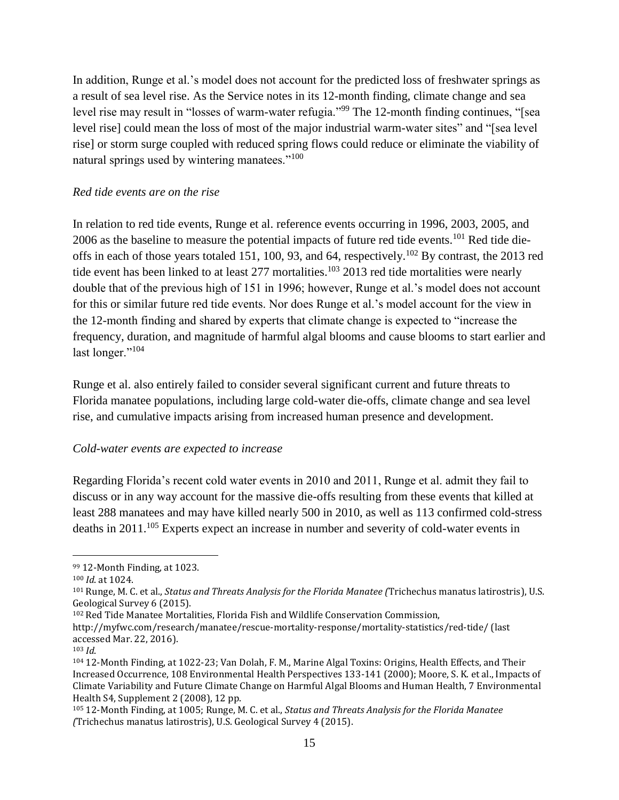In addition, Runge et al.'s model does not account for the predicted loss of freshwater springs as a result of sea level rise. As the Service notes in its 12-month finding, climate change and sea level rise may result in "losses of warm-water refugia."<sup>99</sup> The 12-month finding continues, "[sea level rise] could mean the loss of most of the major industrial warm-water sites" and "[sea level rise] or storm surge coupled with reduced spring flows could reduce or eliminate the viability of natural springs used by wintering manatees."<sup>100</sup>

#### *Red tide events are on the rise*

In relation to red tide events, Runge et al. reference events occurring in 1996, 2003, 2005, and 2006 as the baseline to measure the potential impacts of future red tide events.<sup>101</sup> Red tide dieoffs in each of those years totaled 151, 100, 93, and 64, respectively.<sup>102</sup> By contrast, the 2013 red tide event has been linked to at least 277 mortalities.<sup>103</sup> 2013 red tide mortalities were nearly double that of the previous high of 151 in 1996; however, Runge et al.'s model does not account for this or similar future red tide events. Nor does Runge et al.'s model account for the view in the 12-month finding and shared by experts that climate change is expected to "increase the frequency, duration, and magnitude of harmful algal blooms and cause blooms to start earlier and last longer."<sup>104</sup>

Runge et al. also entirely failed to consider several significant current and future threats to Florida manatee populations, including large cold-water die-offs, climate change and sea level rise, and cumulative impacts arising from increased human presence and development.

### *Cold-water events are expected to increase*

Regarding Florida's recent cold water events in 2010 and 2011, Runge et al. admit they fail to discuss or in any way account for the massive die-offs resulting from these events that killed at least 288 manatees and may have killed nearly 500 in 2010, as well as 113 confirmed cold-stress deaths in 2011.<sup>105</sup> Experts expect an increase in number and severity of cold-water events in

<sup>99</sup> 12-Month Finding, at 1023.

<sup>100</sup> *Id*. at 1024.

<sup>101</sup> Runge, M. C. et al., *Status and Threats Analysis for the Florida Manatee (*Trichechus manatus latirostris), U.S. Geological Survey 6 (2015).

<sup>102</sup> Red Tide Manatee Mortalities, Florida Fish and Wildlife Conservation Commission,

http://myfwc.com/research/manatee/rescue-mortality-response/mortality-statistics/red-tide/ (last accessed Mar. 22, 2016).

<sup>103</sup> *Id*.

<sup>104</sup> 12-Month Finding, at 1022-23; Van Dolah, F. M., Marine Algal Toxins: Origins, Health Effects, and Their Increased Occurrence, 108 Environmental Health Perspectives 133-141 (2000); Moore, S. K. et al., Impacts of Climate Variability and Future Climate Change on Harmful Algal Blooms and Human Health, 7 Environmental Health S4, Supplement 2 (2008), 12 pp.

<sup>105</sup> 12-Month Finding, at 1005; Runge, M. C. et al., *Status and Threats Analysis for the Florida Manatee (*Trichechus manatus latirostris), U.S. Geological Survey 4 (2015).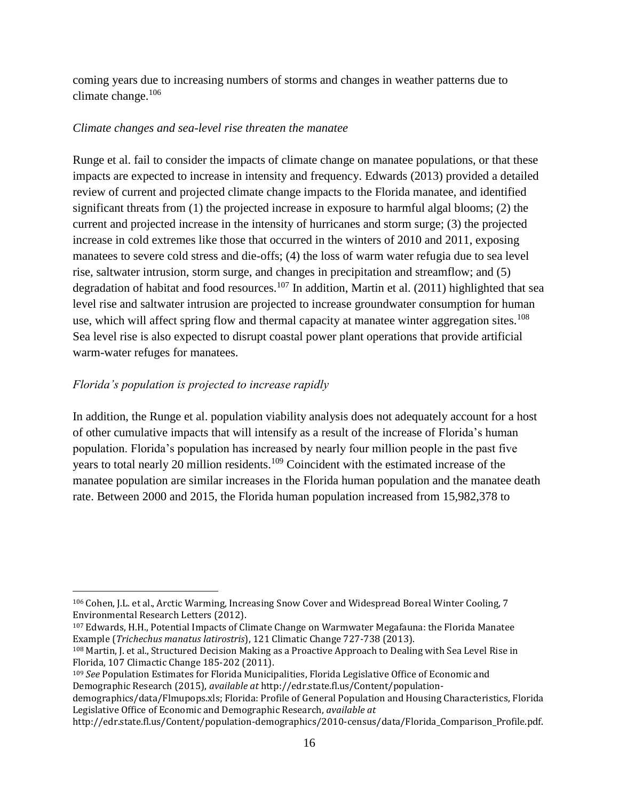coming years due to increasing numbers of storms and changes in weather patterns due to climate change.<sup>106</sup>

#### *Climate changes and sea-level rise threaten the manatee*

Runge et al. fail to consider the impacts of climate change on manatee populations, or that these impacts are expected to increase in intensity and frequency. Edwards (2013) provided a detailed review of current and projected climate change impacts to the Florida manatee, and identified significant threats from (1) the projected increase in exposure to harmful algal blooms; (2) the current and projected increase in the intensity of hurricanes and storm surge; (3) the projected increase in cold extremes like those that occurred in the winters of 2010 and 2011, exposing manatees to severe cold stress and die-offs; (4) the loss of warm water refugia due to sea level rise, saltwater intrusion, storm surge, and changes in precipitation and streamflow; and (5) degradation of habitat and food resources.<sup>107</sup> In addition, Martin et al. (2011) highlighted that sea level rise and saltwater intrusion are projected to increase groundwater consumption for human use, which will affect spring flow and thermal capacity at manatee winter aggregation sites.<sup>108</sup> Sea level rise is also expected to disrupt coastal power plant operations that provide artificial warm-water refuges for manatees.

### *Florida's population is projected to increase rapidly*

 $\overline{a}$ 

In addition, the Runge et al. population viability analysis does not adequately account for a host of other cumulative impacts that will intensify as a result of the increase of Florida's human population. Florida's population has increased by nearly four million people in the past five years to total nearly 20 million residents.<sup>109</sup> Coincident with the estimated increase of the manatee population are similar increases in the Florida human population and the manatee death rate. Between 2000 and 2015, the Florida human population increased from 15,982,378 to

<sup>106</sup> Cohen, J.L. et al., Arctic Warming, Increasing Snow Cover and Widespread Boreal Winter Cooling, 7 Environmental Research Letters (2012).

<sup>107</sup> Edwards, H.H., Potential Impacts of Climate Change on Warmwater Megafauna: the Florida Manatee Example (*Trichechus manatus latirostris*), 121 Climatic Change 727-738 (2013).

<sup>108</sup> Martin, J. et al., Structured Decision Making as a Proactive Approach to Dealing with Sea Level Rise in Florida, 107 Climactic Change 185-202 (2011).

<sup>109</sup> *See* Population Estimates for Florida Municipalities, Florida Legislative Office of Economic and Demographic Research (2015), *available at* http://edr.state.fl.us/Content/population-

demographics/data/Flmupops.xls; Florida: Profile of General Population and Housing Characteristics, Florida Legislative Office of Economic and Demographic Research, *available at*

http://edr.state.fl.us/Content/population-demographics/2010-census/data/Florida\_Comparison\_Profile.pdf.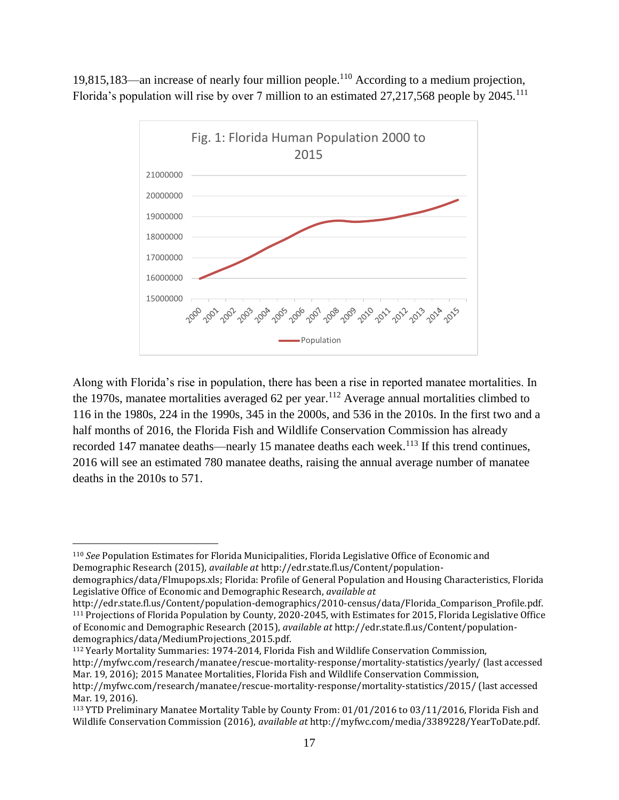19,815,183—an increase of nearly four million people.<sup>110</sup> According to a medium projection, Florida's population will rise by over 7 million to an estimated  $27,217,568$  people by  $2045$ .<sup>111</sup>



Along with Florida's rise in population, there has been a rise in reported manatee mortalities. In the 1970s, manatee mortalities averaged 62 per year.<sup>112</sup> Average annual mortalities climbed to 116 in the 1980s, 224 in the 1990s, 345 in the 2000s, and 536 in the 2010s. In the first two and a half months of 2016, the Florida Fish and Wildlife Conservation Commission has already recorded 147 manatee deaths—nearly 15 manatee deaths each week.<sup>113</sup> If this trend continues, 2016 will see an estimated 780 manatee deaths, raising the annual average number of manatee deaths in the 2010s to 571.

 $\overline{a}$ 

<sup>112</sup> Yearly Mortality Summaries: 1974-2014, Florida Fish and Wildlife Conservation Commission, http://myfwc.com/research/manatee/rescue-mortality-response/mortality-statistics/yearly/ (last accessed Mar. 19, 2016); 2015 Manatee Mortalities, Florida Fish and Wildlife Conservation Commission,

<sup>110</sup> *See* Population Estimates for Florida Municipalities, Florida Legislative Office of Economic and Demographic Research (2015), *available at* http://edr.state.fl.us/Content/population-

demographics/data/Flmupops.xls; Florida: Profile of General Population and Housing Characteristics, Florida Legislative Office of Economic and Demographic Research, *available at*

http://edr.state.fl.us/Content/population-demographics/2010-census/data/Florida\_Comparison\_Profile.pdf. <sup>111</sup> Projections of Florida Population by County, 2020-2045, with Estimates for 2015, Florida Legislative Office of Economic and Demographic Research (2015), *available at* http://edr.state.fl.us/Content/populationdemographics/data/MediumProjections\_2015.pdf.

http://myfwc.com/research/manatee/rescue-mortality-response/mortality-statistics/2015/ (last accessed Mar. 19, 2016).

<sup>113</sup> YTD Preliminary Manatee Mortality Table by County From: 01/01/2016 to 03/11/2016, Florida Fish and Wildlife Conservation Commission (2016), *available at* http://myfwc.com/media/3389228/YearToDate.pdf.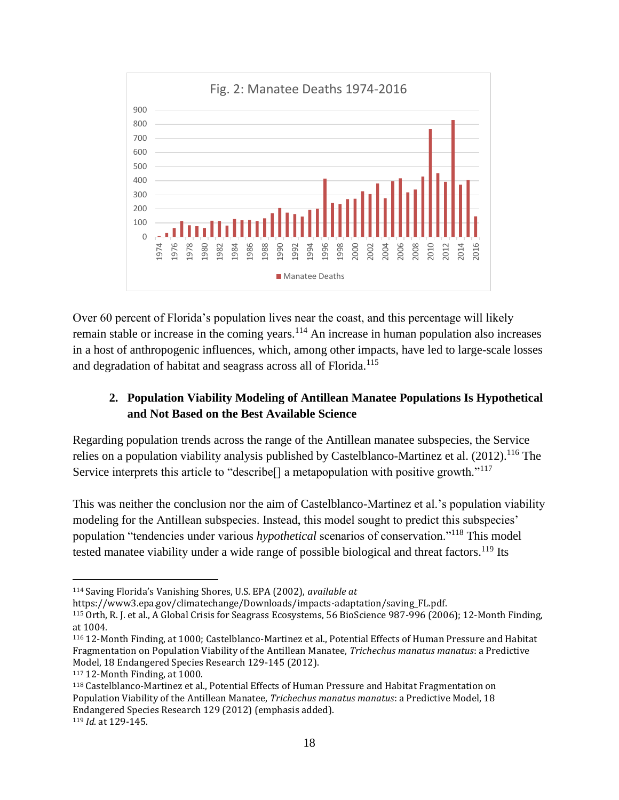

Over 60 percent of Florida's population lives near the coast, and this percentage will likely remain stable or increase in the coming years.<sup>114</sup> An increase in human population also increases in a host of anthropogenic influences, which, among other impacts, have led to large-scale losses and degradation of habitat and seagrass across all of Florida.<sup>115</sup>

### **2. Population Viability Modeling of Antillean Manatee Populations Is Hypothetical and Not Based on the Best Available Science**

Regarding population trends across the range of the Antillean manatee subspecies, the Service relies on a population viability analysis published by Castelblanco-Martinez et al. (2012).<sup>116</sup> The Service interprets this article to "describe<sup>[]</sup> a metapopulation with positive growth."<sup>117</sup>

This was neither the conclusion nor the aim of Castelblanco-Martinez et al.'s population viability modeling for the Antillean subspecies. Instead, this model sought to predict this subspecies' population "tendencies under various *hypothetical* scenarios of conservation."<sup>118</sup> This model tested manatee viability under a wide range of possible biological and threat factors.<sup>119</sup> Its

Saving Florida's Vanishing Shores, U.S. EPA (2002), *available at*

https://www3.epa.gov/climatechange/Downloads/impacts-adaptation/saving\_FL.pdf.

 Orth, R. J. et al., A Global Crisis for Seagrass Ecosystems, 56 BioScience 987-996 (2006); 12-Month Finding, at 1004.

 12-Month Finding, at 1000; Castelblanco-Martinez et al., Potential Effects of Human Pressure and Habitat Fragmentation on Population Viability of the Antillean Manatee, *Trichechus manatus manatus*: a Predictive Model, 18 Endangered Species Research 129-145 (2012).

12-Month Finding, at 1000.

 Castelblanco-Martinez et al., Potential Effects of Human Pressure and Habitat Fragmentation on Population Viability of the Antillean Manatee, *Trichechus manatus manatus*: a Predictive Model, 18 Endangered Species Research 129 (2012) (emphasis added). *Id*. at 129-145.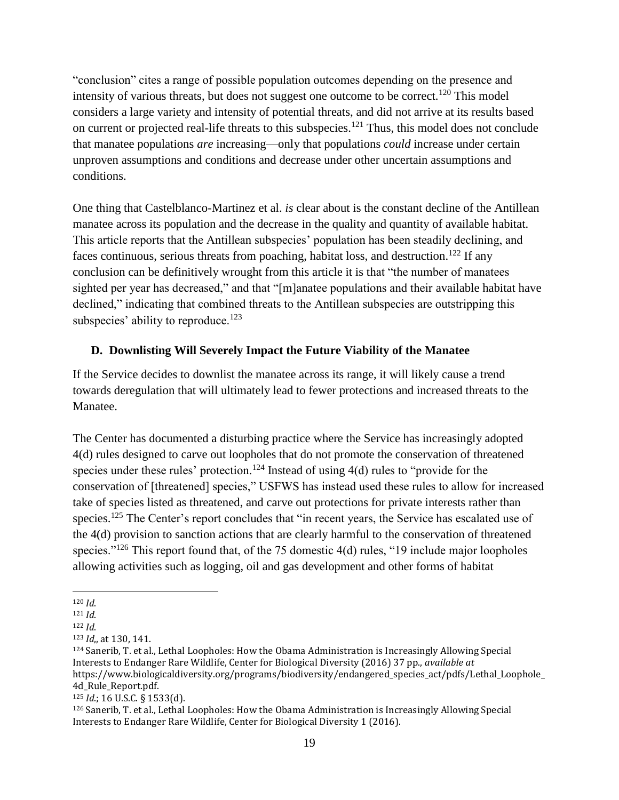"conclusion" cites a range of possible population outcomes depending on the presence and intensity of various threats, but does not suggest one outcome to be correct.<sup>120</sup> This model considers a large variety and intensity of potential threats, and did not arrive at its results based on current or projected real-life threats to this subspecies.<sup>121</sup> Thus, this model does not conclude that manatee populations *are* increasing—only that populations *could* increase under certain unproven assumptions and conditions and decrease under other uncertain assumptions and conditions.

One thing that Castelblanco-Martinez et al. *is* clear about is the constant decline of the Antillean manatee across its population and the decrease in the quality and quantity of available habitat. This article reports that the Antillean subspecies' population has been steadily declining, and faces continuous, serious threats from poaching, habitat loss, and destruction.<sup>122</sup> If any conclusion can be definitively wrought from this article it is that "the number of manatees sighted per year has decreased," and that "[m]anatee populations and their available habitat have declined," indicating that combined threats to the Antillean subspecies are outstripping this subspecies' ability to reproduce.<sup>123</sup>

### **D. Downlisting Will Severely Impact the Future Viability of the Manatee**

If the Service decides to downlist the manatee across its range, it will likely cause a trend towards deregulation that will ultimately lead to fewer protections and increased threats to the Manatee.

The Center has documented a disturbing practice where the Service has increasingly adopted 4(d) rules designed to carve out loopholes that do not promote the conservation of threatened species under these rules' protection.<sup>124</sup> Instead of using  $4(d)$  rules to "provide for the conservation of [threatened] species," USFWS has instead used these rules to allow for increased take of species listed as threatened, and carve out protections for private interests rather than species.<sup>125</sup> The Center's report concludes that "in recent years, the Service has escalated use of the 4(d) provision to sanction actions that are clearly harmful to the conservation of threatened species."<sup>126</sup> This report found that, of the 75 domestic 4(d) rules, "19 include major loopholes allowing activities such as logging, oil and gas development and other forms of habitat

<sup>120</sup> *Id*.

<sup>121</sup> *Id*.

<sup>122</sup> *Id*.

<sup>123</sup> *Id*,, at 130, 141.

<sup>124</sup> Sanerib, T. et al., Lethal Loopholes: How the Obama Administration is Increasingly Allowing Special Interests to Endanger Rare Wildlife, Center for Biological Diversity (2016) 37 pp., *available at*  https://www.biologicaldiversity.org/programs/biodiversity/endangered\_species\_act/pdfs/Lethal\_Loophole\_ 4d\_Rule\_Report.pdf.

<sup>125</sup> *Id*.; 16 U.S.C. § 1533(d).

<sup>126</sup> Sanerib, T. et al., Lethal Loopholes: How the Obama Administration is Increasingly Allowing Special Interests to Endanger Rare Wildlife, Center for Biological Diversity 1 (2016).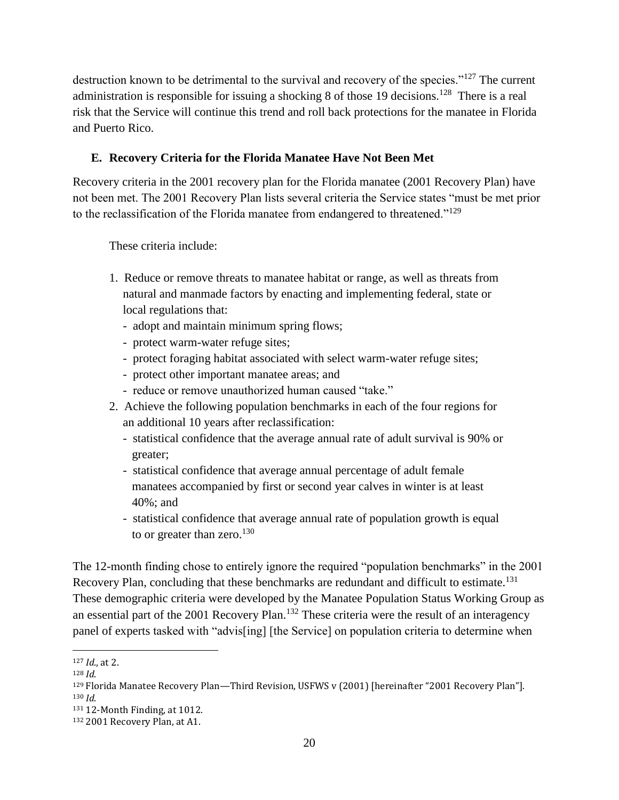destruction known to be detrimental to the survival and recovery of the species."<sup>127</sup> The current administration is responsible for issuing a shocking 8 of those 19 decisions.<sup>128</sup> There is a real risk that the Service will continue this trend and roll back protections for the manatee in Florida and Puerto Rico.

### **E. Recovery Criteria for the Florida Manatee Have Not Been Met**

Recovery criteria in the 2001 recovery plan for the Florida manatee (2001 Recovery Plan) have not been met. The 2001 Recovery Plan lists several criteria the Service states "must be met prior to the reclassification of the Florida manatee from endangered to threatened."<sup>129</sup>

These criteria include:

- 1. Reduce or remove threats to manatee habitat or range, as well as threats from natural and manmade factors by enacting and implementing federal, state or local regulations that:
	- adopt and maintain minimum spring flows;
	- protect warm-water refuge sites;
	- protect foraging habitat associated with select warm-water refuge sites;
	- protect other important manatee areas; and
	- reduce or remove unauthorized human caused "take."
- 2. Achieve the following population benchmarks in each of the four regions for an additional 10 years after reclassification:
	- statistical confidence that the average annual rate of adult survival is 90% or greater;
	- statistical confidence that average annual percentage of adult female manatees accompanied by first or second year calves in winter is at least 40%; and
	- statistical confidence that average annual rate of population growth is equal to or greater than zero. $130$

The 12-month finding chose to entirely ignore the required "population benchmarks" in the 2001 Recovery Plan, concluding that these benchmarks are redundant and difficult to estimate.<sup>131</sup> These demographic criteria were developed by the Manatee Population Status Working Group as an essential part of the 2001 Recovery Plan.<sup>132</sup> These criteria were the result of an interagency panel of experts tasked with "advis[ing] [the Service] on population criteria to determine when

<sup>127</sup> *Id*., at 2.

<sup>128</sup> *Id*.

<sup>129</sup> Florida Manatee Recovery Plan—Third Revision, USFWS v (2001) [hereinafter "2001 Recovery Plan"]. <sup>130</sup> *Id*.

<sup>131</sup> 12-Month Finding, at 1012.

<sup>132</sup> 2001 Recovery Plan, at A1.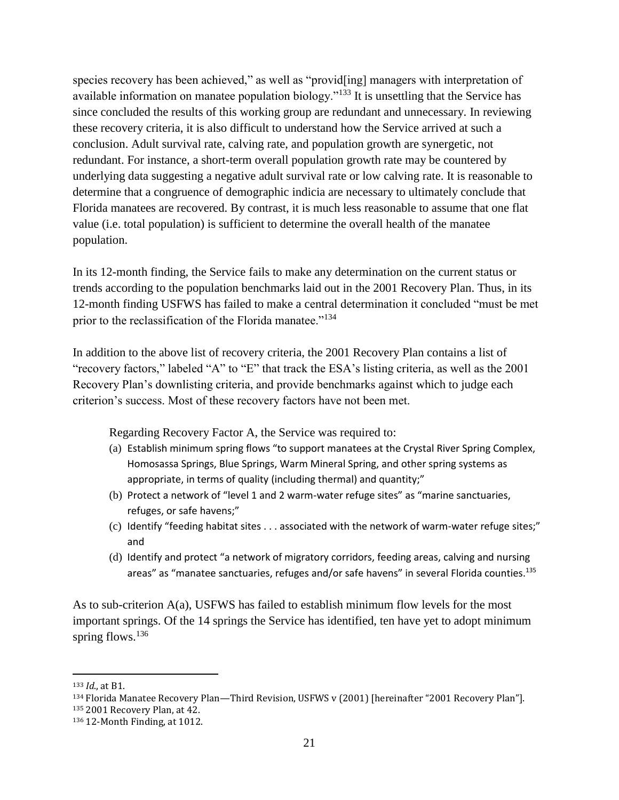species recovery has been achieved," as well as "provid[ing] managers with interpretation of available information on manatee population biology."<sup>133</sup> It is unsettling that the Service has since concluded the results of this working group are redundant and unnecessary. In reviewing these recovery criteria, it is also difficult to understand how the Service arrived at such a conclusion. Adult survival rate, calving rate, and population growth are synergetic, not redundant. For instance, a short-term overall population growth rate may be countered by underlying data suggesting a negative adult survival rate or low calving rate. It is reasonable to determine that a congruence of demographic indicia are necessary to ultimately conclude that Florida manatees are recovered. By contrast, it is much less reasonable to assume that one flat value (i.e. total population) is sufficient to determine the overall health of the manatee population.

In its 12-month finding, the Service fails to make any determination on the current status or trends according to the population benchmarks laid out in the 2001 Recovery Plan. Thus, in its 12-month finding USFWS has failed to make a central determination it concluded "must be met prior to the reclassification of the Florida manatee."<sup>134</sup>

In addition to the above list of recovery criteria, the 2001 Recovery Plan contains a list of "recovery factors," labeled "A" to "E" that track the ESA's listing criteria, as well as the 2001 Recovery Plan's downlisting criteria, and provide benchmarks against which to judge each criterion's success. Most of these recovery factors have not been met.

Regarding Recovery Factor A, the Service was required to:

- (a) Establish minimum spring flows "to support manatees at the Crystal River Spring Complex, Homosassa Springs, Blue Springs, Warm Mineral Spring, and other spring systems as appropriate, in terms of quality (including thermal) and quantity;"
- (b) Protect a network of "level 1 and 2 warm-water refuge sites" as "marine sanctuaries, refuges, or safe havens;"
- (c) Identify "feeding habitat sites . . . associated with the network of warm-water refuge sites;" and
- (d) Identify and protect "a network of migratory corridors, feeding areas, calving and nursing areas" as "manatee sanctuaries, refuges and/or safe havens" in several Florida counties.<sup>135</sup>

As to sub-criterion A(a), USFWS has failed to establish minimum flow levels for the most important springs. Of the 14 springs the Service has identified, ten have yet to adopt minimum spring flows.<sup>136</sup>

<sup>133</sup> *Id*., at B1.

<sup>134</sup> Florida Manatee Recovery Plan—Third Revision, USFWS v (2001) [hereinafter "2001 Recovery Plan"].

<sup>135</sup> 2001 Recovery Plan, at 42.

<sup>136</sup> 12-Month Finding, at 1012.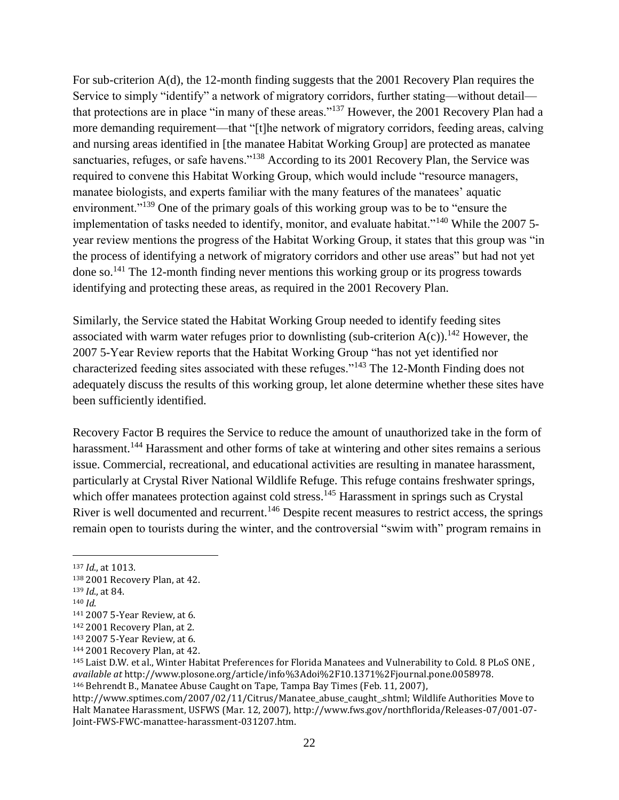For sub-criterion A(d), the 12-month finding suggests that the 2001 Recovery Plan requires the Service to simply "identify" a network of migratory corridors, further stating—without detail that protections are in place "in many of these areas."<sup>137</sup> However, the 2001 Recovery Plan had a more demanding requirement—that "[t]he network of migratory corridors, feeding areas, calving and nursing areas identified in [the manatee Habitat Working Group] are protected as manatee sanctuaries, refuges, or safe havens."<sup>138</sup> According to its 2001 Recovery Plan, the Service was required to convene this Habitat Working Group, which would include "resource managers, manatee biologists, and experts familiar with the many features of the manatees' aquatic environment."<sup>139</sup> One of the primary goals of this working group was to be to "ensure the implementation of tasks needed to identify, monitor, and evaluate habitat."<sup>140</sup> While the 2007 5 year review mentions the progress of the Habitat Working Group, it states that this group was "in the process of identifying a network of migratory corridors and other use areas" but had not yet done so.<sup>141</sup> The 12-month finding never mentions this working group or its progress towards identifying and protecting these areas, as required in the 2001 Recovery Plan.

Similarly, the Service stated the Habitat Working Group needed to identify feeding sites associated with warm water refuges prior to downlisting (sub-criterion  $A(c)$ ).<sup>142</sup> However, the 2007 5-Year Review reports that the Habitat Working Group "has not yet identified nor characterized feeding sites associated with these refuges."<sup>143</sup> The 12-Month Finding does not adequately discuss the results of this working group, let alone determine whether these sites have been sufficiently identified.

Recovery Factor B requires the Service to reduce the amount of unauthorized take in the form of harassment.<sup>144</sup> Harassment and other forms of take at wintering and other sites remains a serious issue. Commercial, recreational, and educational activities are resulting in manatee harassment, particularly at Crystal River National Wildlife Refuge. This refuge contains freshwater springs, which offer manatees protection against cold stress.<sup>145</sup> Harassment in springs such as Crystal River is well documented and recurrent.<sup>146</sup> Despite recent measures to restrict access, the springs remain open to tourists during the winter, and the controversial "swim with" program remains in

<sup>137</sup> *Id*., at 1013.

<sup>138</sup> 2001 Recovery Plan, at 42.

<sup>139</sup> *Id*., at 84.

<sup>140</sup> *Id*.

<sup>141</sup> 2007 5-Year Review, at 6.

<sup>142</sup> 2001 Recovery Plan, at 2.

<sup>143</sup> 2007 5-Year Review, at 6.

<sup>144</sup> 2001 Recovery Plan, at 42.

<sup>145</sup> Laist D.W. et al., Winter Habitat Preferences for Florida Manatees and Vulnerability to Cold. 8 PLoS ONE , *available at* http://www.plosone.org/article/info%3Adoi%2F10.1371%2Fjournal.pone.0058978. <sup>146</sup> Behrendt B., Manatee Abuse Caught on Tape, Tampa Bay Times (Feb. 11, 2007),

http://www.sptimes.com/2007/02/11/Citrus/Manatee\_abuse\_caught\_.shtml; Wildlife Authorities Move to Halt Manatee Harassment, USFWS (Mar. 12, 2007), http://www.fws.gov/northflorida/Releases-07/001-07- Joint-FWS-FWC-manattee-harassment-031207.htm.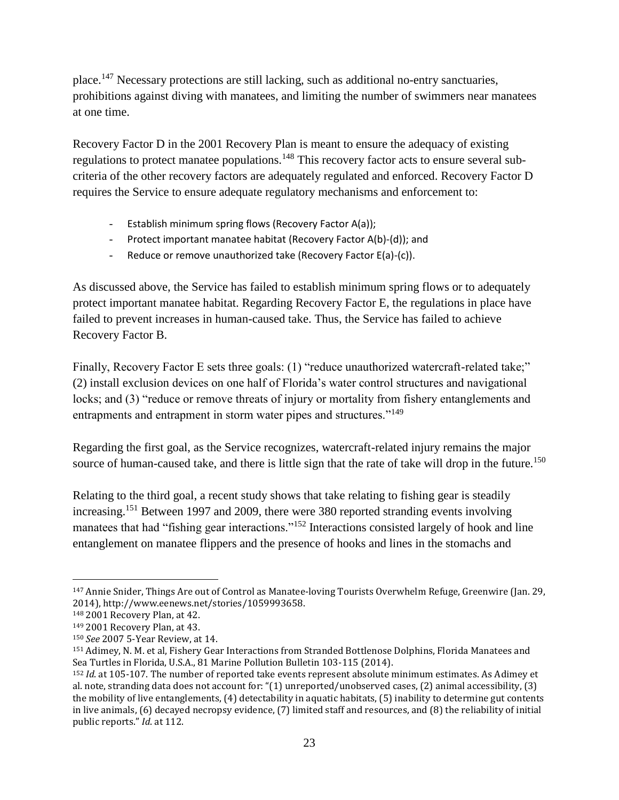place.<sup>147</sup> Necessary protections are still lacking, such as additional no-entry sanctuaries, prohibitions against diving with manatees, and limiting the number of swimmers near manatees at one time.

Recovery Factor D in the 2001 Recovery Plan is meant to ensure the adequacy of existing regulations to protect manatee populations.<sup>148</sup> This recovery factor acts to ensure several subcriteria of the other recovery factors are adequately regulated and enforced. Recovery Factor D requires the Service to ensure adequate regulatory mechanisms and enforcement to:

- Establish minimum spring flows (Recovery Factor A(a));
- Protect important manatee habitat (Recovery Factor A(b)-(d)); and
- Reduce or remove unauthorized take (Recovery Factor E(a)-(c)).

As discussed above, the Service has failed to establish minimum spring flows or to adequately protect important manatee habitat. Regarding Recovery Factor E, the regulations in place have failed to prevent increases in human-caused take. Thus, the Service has failed to achieve Recovery Factor B.

Finally, Recovery Factor E sets three goals: (1) "reduce unauthorized watercraft-related take;" (2) install exclusion devices on one half of Florida's water control structures and navigational locks; and (3) "reduce or remove threats of injury or mortality from fishery entanglements and entrapments and entrapment in storm water pipes and structures."<sup>149</sup>

Regarding the first goal, as the Service recognizes, watercraft-related injury remains the major source of human-caused take, and there is little sign that the rate of take will drop in the future.<sup>150</sup>

Relating to the third goal, a recent study shows that take relating to fishing gear is steadily increasing.<sup>151</sup> Between 1997 and 2009, there were 380 reported stranding events involving manatees that had "fishing gear interactions."<sup>152</sup> Interactions consisted largely of hook and line entanglement on manatee flippers and the presence of hooks and lines in the stomachs and

 $\overline{a}$ <sup>147</sup> Annie Snider, Things Are out of Control as Manatee-loving Tourists Overwhelm Refuge, Greenwire (Jan. 29, 2014), http://www.eenews.net/stories/1059993658.

<sup>148</sup> 2001 Recovery Plan, at 42.

<sup>149</sup> 2001 Recovery Plan, at 43.

<sup>150</sup> *See* 2007 5-Year Review, at 14.

<sup>151</sup> Adimey, N. M. et al, Fishery Gear Interactions from Stranded Bottlenose Dolphins, Florida Manatees and Sea Turtles in Florida, U.S.A., 81 Marine Pollution Bulletin 103-115 (2014).

<sup>152</sup> *Id*. at 105-107. The number of reported take events represent absolute minimum estimates. As Adimey et al. note, stranding data does not account for: "(1) unreported/unobserved cases, (2) animal accessibility, (3) the mobility of live entanglements, (4) detectability in aquatic habitats, (5) inability to determine gut contents in live animals, (6) decayed necropsy evidence, (7) limited staff and resources, and (8) the reliability of initial public reports." *Id*. at 112.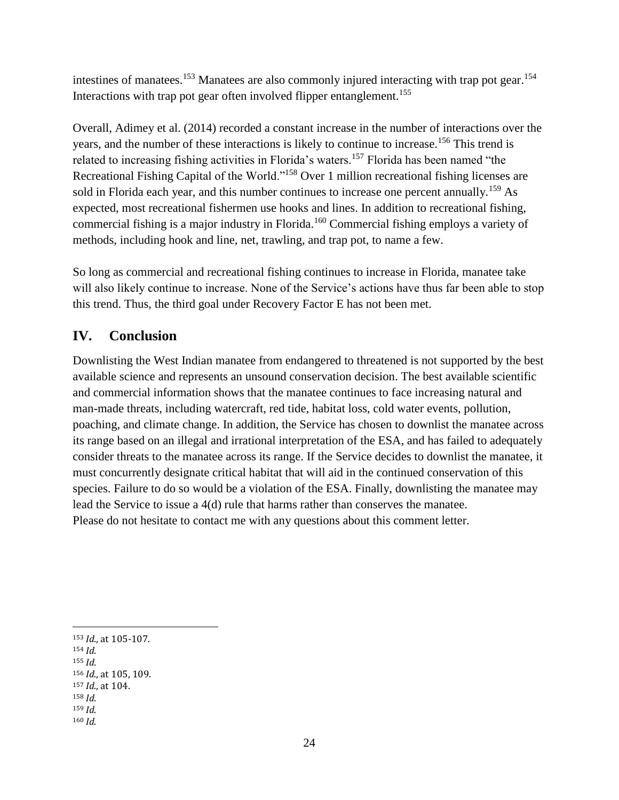intestines of manatees.<sup>153</sup> Manatees are also commonly injured interacting with trap pot gear.<sup>154</sup> Interactions with trap pot gear often involved flipper entanglement.<sup>155</sup>

Overall, Adimey et al. (2014) recorded a constant increase in the number of interactions over the years, and the number of these interactions is likely to continue to increase.<sup>156</sup> This trend is related to increasing fishing activities in Florida's waters.<sup>157</sup> Florida has been named "the Recreational Fishing Capital of the World."<sup>158</sup> Over 1 million recreational fishing licenses are sold in Florida each year, and this number continues to increase one percent annually.<sup>159</sup> As expected, most recreational fishermen use hooks and lines. In addition to recreational fishing, commercial fishing is a major industry in Florida.<sup>160</sup> Commercial fishing employs a variety of methods, including hook and line, net, trawling, and trap pot, to name a few.

So long as commercial and recreational fishing continues to increase in Florida, manatee take will also likely continue to increase. None of the Service's actions have thus far been able to stop this trend. Thus, the third goal under Recovery Factor E has not been met.

# **IV. Conclusion**

Downlisting the West Indian manatee from endangered to threatened is not supported by the best available science and represents an unsound conservation decision. The best available scientific and commercial information shows that the manatee continues to face increasing natural and man-made threats, including watercraft, red tide, habitat loss, cold water events, pollution, poaching, and climate change. In addition, the Service has chosen to downlist the manatee across its range based on an illegal and irrational interpretation of the ESA, and has failed to adequately consider threats to the manatee across its range. If the Service decides to downlist the manatee, it must concurrently designate critical habitat that will aid in the continued conservation of this species. Failure to do so would be a violation of the ESA. Finally, downlisting the manatee may lead the Service to issue a 4(d) rule that harms rather than conserves the manatee. Please do not hesitate to contact me with any questions about this comment letter.

<sup>153</sup> *Id*., at 105-107.

<sup>154</sup> *Id*.

<sup>155</sup> *Id*.

<sup>156</sup> *Id*., at 105, 109. <sup>157</sup> *Id*., at 104.

<sup>158</sup> *Id*.

<sup>159</sup> *Id*.

<sup>160</sup> *Id*.